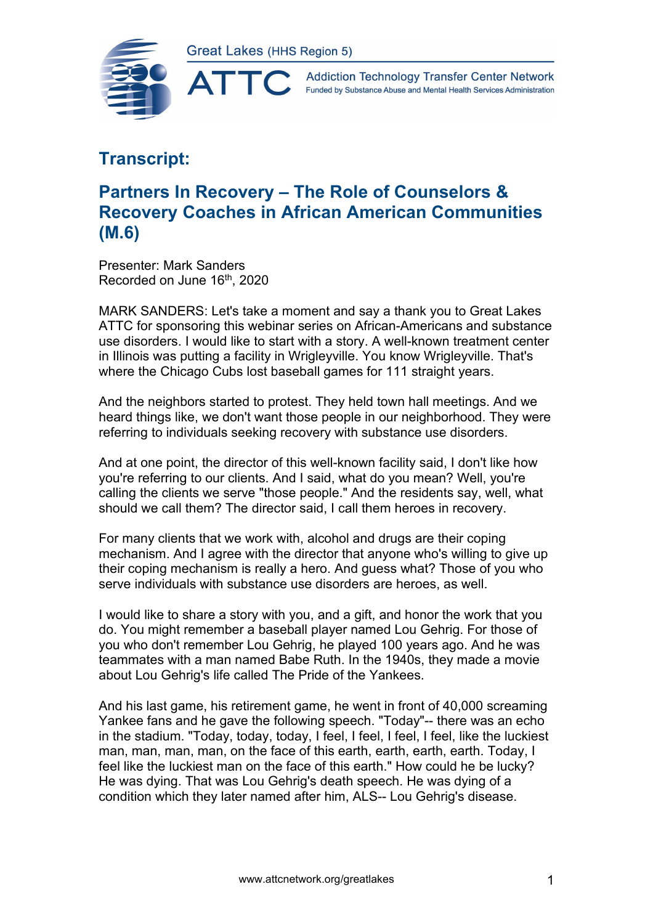



## **Transcript:**

## **Partners In Recovery – The Role of Counselors & Recovery Coaches in African American Communities (M.6)**

Presenter: Mark Sanders Recorded on June 16<sup>th</sup>, 2020

MARK SANDERS: Let's take a moment and say a thank you to Great Lakes ATTC for sponsoring this webinar series on African-Americans and substance use disorders. I would like to start with a story. A well-known treatment center in Illinois was putting a facility in Wrigleyville. You know Wrigleyville. That's where the Chicago Cubs lost baseball games for 111 straight years.

And the neighbors started to protest. They held town hall meetings. And we heard things like, we don't want those people in our neighborhood. They were referring to individuals seeking recovery with substance use disorders.

And at one point, the director of this well-known facility said, I don't like how you're referring to our clients. And I said, what do you mean? Well, you're calling the clients we serve "those people." And the residents say, well, what should we call them? The director said, I call them heroes in recovery.

For many clients that we work with, alcohol and drugs are their coping mechanism. And I agree with the director that anyone who's willing to give up their coping mechanism is really a hero. And guess what? Those of you who serve individuals with substance use disorders are heroes, as well.

I would like to share a story with you, and a gift, and honor the work that you do. You might remember a baseball player named Lou Gehrig. For those of you who don't remember Lou Gehrig, he played 100 years ago. And he was teammates with a man named Babe Ruth. In the 1940s, they made a movie about Lou Gehrig's life called The Pride of the Yankees.

And his last game, his retirement game, he went in front of 40,000 screaming Yankee fans and he gave the following speech. "Today"-- there was an echo in the stadium. "Today, today, today, I feel, I feel, I feel, I feel, like the luckiest man, man, man, man, on the face of this earth, earth, earth, earth. Today, I feel like the luckiest man on the face of this earth." How could he be lucky? He was dying. That was Lou Gehrig's death speech. He was dying of a condition which they later named after him, ALS-- Lou Gehrig's disease.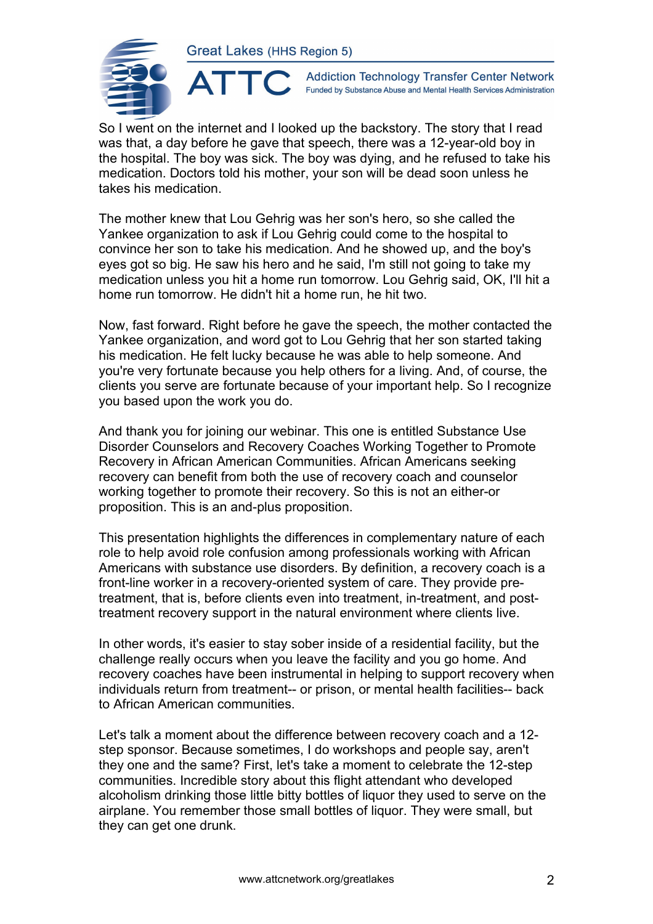ATTC



**Addiction Technology Transfer Center Network** Funded by Substance Abuse and Mental Health Services Administration

So I went on the internet and I looked up the backstory. The story that I read was that, a day before he gave that speech, there was a 12-year-old boy in the hospital. The boy was sick. The boy was dying, and he refused to take his medication. Doctors told his mother, your son will be dead soon unless he takes his medication.

The mother knew that Lou Gehrig was her son's hero, so she called the Yankee organization to ask if Lou Gehrig could come to the hospital to convince her son to take his medication. And he showed up, and the boy's eyes got so big. He saw his hero and he said, I'm still not going to take my medication unless you hit a home run tomorrow. Lou Gehrig said, OK, I'll hit a home run tomorrow. He didn't hit a home run, he hit two.

Now, fast forward. Right before he gave the speech, the mother contacted the Yankee organization, and word got to Lou Gehrig that her son started taking his medication. He felt lucky because he was able to help someone. And you're very fortunate because you help others for a living. And, of course, the clients you serve are fortunate because of your important help. So I recognize you based upon the work you do.

And thank you for joining our webinar. This one is entitled Substance Use Disorder Counselors and Recovery Coaches Working Together to Promote Recovery in African American Communities. African Americans seeking recovery can benefit from both the use of recovery coach and counselor working together to promote their recovery. So this is not an either-or proposition. This is an and-plus proposition.

This presentation highlights the differences in complementary nature of each role to help avoid role confusion among professionals working with African Americans with substance use disorders. By definition, a recovery coach is a front-line worker in a recovery-oriented system of care. They provide pretreatment, that is, before clients even into treatment, in-treatment, and posttreatment recovery support in the natural environment where clients live.

In other words, it's easier to stay sober inside of a residential facility, but the challenge really occurs when you leave the facility and you go home. And recovery coaches have been instrumental in helping to support recovery when individuals return from treatment-- or prison, or mental health facilities-- back to African American communities.

Let's talk a moment about the difference between recovery coach and a 12 step sponsor. Because sometimes, I do workshops and people say, aren't they one and the same? First, let's take a moment to celebrate the 12-step communities. Incredible story about this flight attendant who developed alcoholism drinking those little bitty bottles of liquor they used to serve on the airplane. You remember those small bottles of liquor. They were small, but they can get one drunk.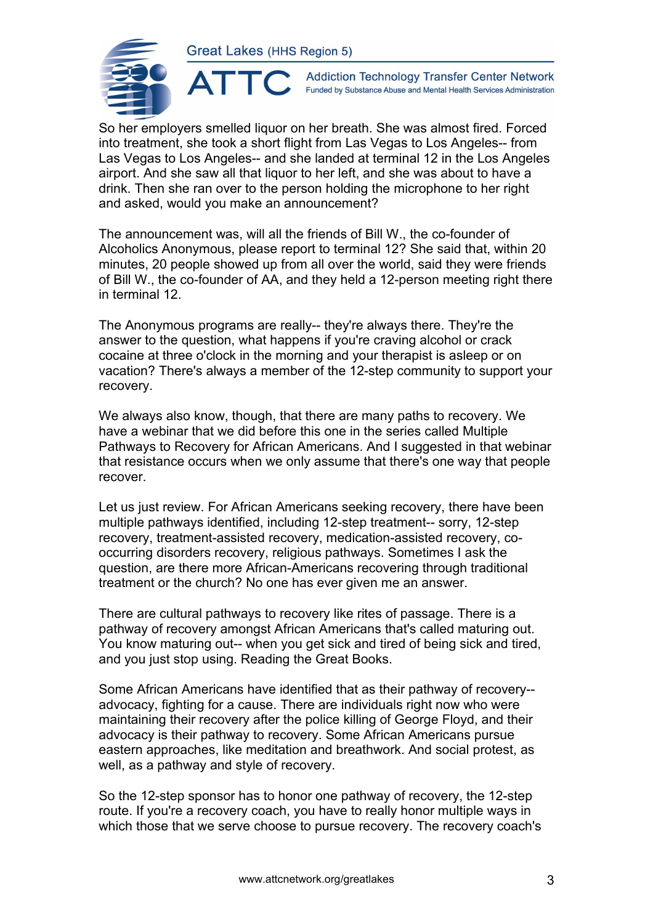

**Addiction Technology Transfer Center Network** Funded by Substance Abuse and Mental Health Services Administration

So her employers smelled liquor on her breath. She was almost fired. Forced into treatment, she took a short flight from Las Vegas to Los Angeles-- from Las Vegas to Los Angeles-- and she landed at terminal 12 in the Los Angeles airport. And she saw all that liquor to her left, and she was about to have a drink. Then she ran over to the person holding the microphone to her right and asked, would you make an announcement?

The announcement was, will all the friends of Bill W., the co-founder of Alcoholics Anonymous, please report to terminal 12? She said that, within 20 minutes, 20 people showed up from all over the world, said they were friends of Bill W., the co-founder of AA, and they held a 12-person meeting right there in terminal 12.

The Anonymous programs are really-- they're always there. They're the answer to the question, what happens if you're craving alcohol or crack cocaine at three o'clock in the morning and your therapist is asleep or on vacation? There's always a member of the 12-step community to support your recovery.

We always also know, though, that there are many paths to recovery. We have a webinar that we did before this one in the series called Multiple Pathways to Recovery for African Americans. And I suggested in that webinar that resistance occurs when we only assume that there's one way that people recover.

Let us just review. For African Americans seeking recovery, there have been multiple pathways identified, including 12-step treatment-- sorry, 12-step recovery, treatment-assisted recovery, medication-assisted recovery, cooccurring disorders recovery, religious pathways. Sometimes I ask the question, are there more African-Americans recovering through traditional treatment or the church? No one has ever given me an answer.

There are cultural pathways to recovery like rites of passage. There is a pathway of recovery amongst African Americans that's called maturing out. You know maturing out-- when you get sick and tired of being sick and tired, and you just stop using. Reading the Great Books.

Some African Americans have identified that as their pathway of recovery- advocacy, fighting for a cause. There are individuals right now who were maintaining their recovery after the police killing of George Floyd, and their advocacy is their pathway to recovery. Some African Americans pursue eastern approaches, like meditation and breathwork. And social protest, as well, as a pathway and style of recovery.

So the 12-step sponsor has to honor one pathway of recovery, the 12-step route. If you're a recovery coach, you have to really honor multiple ways in which those that we serve choose to pursue recovery. The recovery coach's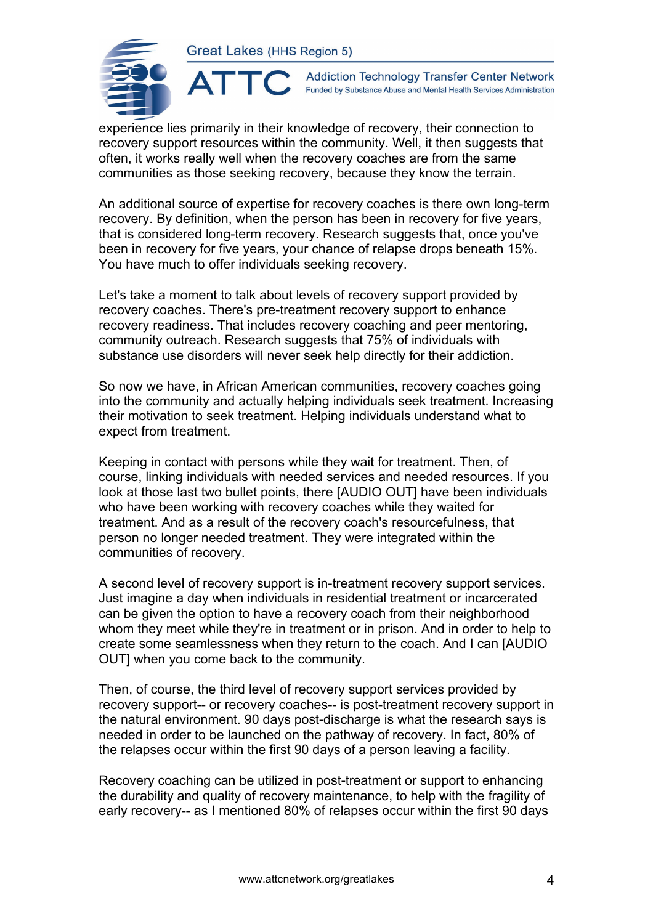

**Addiction Technology Transfer Center Network** Funded by Substance Abuse and Mental Health Services Administration

experience lies primarily in their knowledge of recovery, their connection to recovery support resources within the community. Well, it then suggests that often, it works really well when the recovery coaches are from the same communities as those seeking recovery, because they know the terrain.

An additional source of expertise for recovery coaches is there own long-term recovery. By definition, when the person has been in recovery for five years, that is considered long-term recovery. Research suggests that, once you've been in recovery for five years, your chance of relapse drops beneath 15%. You have much to offer individuals seeking recovery.

Let's take a moment to talk about levels of recovery support provided by recovery coaches. There's pre-treatment recovery support to enhance recovery readiness. That includes recovery coaching and peer mentoring, community outreach. Research suggests that 75% of individuals with substance use disorders will never seek help directly for their addiction.

So now we have, in African American communities, recovery coaches going into the community and actually helping individuals seek treatment. Increasing their motivation to seek treatment. Helping individuals understand what to expect from treatment.

Keeping in contact with persons while they wait for treatment. Then, of course, linking individuals with needed services and needed resources. If you look at those last two bullet points, there [AUDIO OUT] have been individuals who have been working with recovery coaches while they waited for treatment. And as a result of the recovery coach's resourcefulness, that person no longer needed treatment. They were integrated within the communities of recovery.

A second level of recovery support is in-treatment recovery support services. Just imagine a day when individuals in residential treatment or incarcerated can be given the option to have a recovery coach from their neighborhood whom they meet while they're in treatment or in prison. And in order to help to create some seamlessness when they return to the coach. And I can [AUDIO OUT] when you come back to the community.

Then, of course, the third level of recovery support services provided by recovery support-- or recovery coaches-- is post-treatment recovery support in the natural environment. 90 days post-discharge is what the research says is needed in order to be launched on the pathway of recovery. In fact, 80% of the relapses occur within the first 90 days of a person leaving a facility.

Recovery coaching can be utilized in post-treatment or support to enhancing the durability and quality of recovery maintenance, to help with the fragility of early recovery-- as I mentioned 80% of relapses occur within the first 90 days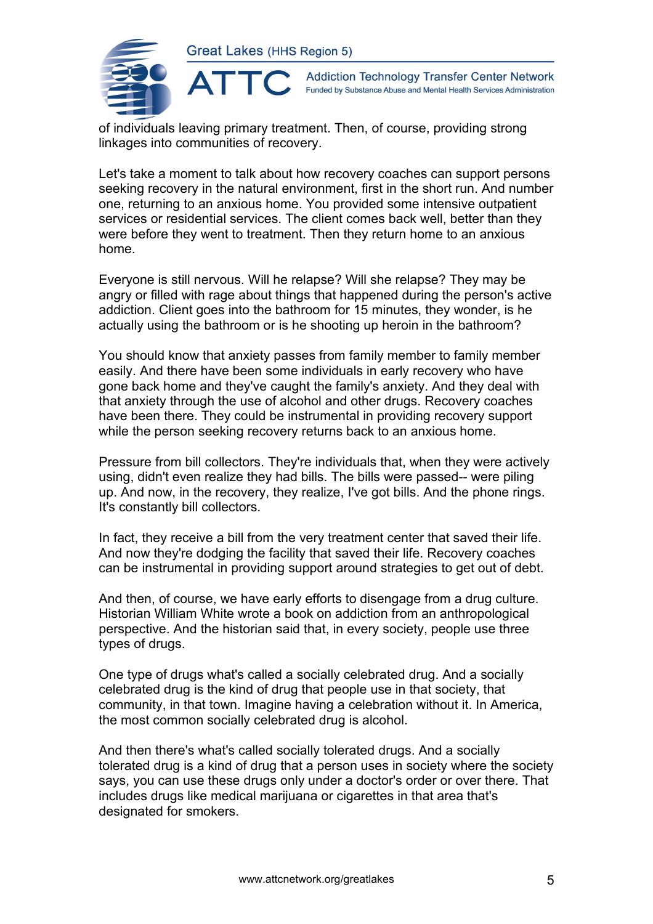

**Addiction Technology Transfer Center Network** Funded by Substance Abuse and Mental Health Services Administration

of individuals leaving primary treatment. Then, of course, providing strong linkages into communities of recovery.

Let's take a moment to talk about how recovery coaches can support persons seeking recovery in the natural environment, first in the short run. And number one, returning to an anxious home. You provided some intensive outpatient services or residential services. The client comes back well, better than they were before they went to treatment. Then they return home to an anxious home.

Everyone is still nervous. Will he relapse? Will she relapse? They may be angry or filled with rage about things that happened during the person's active addiction. Client goes into the bathroom for 15 minutes, they wonder, is he actually using the bathroom or is he shooting up heroin in the bathroom?

You should know that anxiety passes from family member to family member easily. And there have been some individuals in early recovery who have gone back home and they've caught the family's anxiety. And they deal with that anxiety through the use of alcohol and other drugs. Recovery coaches have been there. They could be instrumental in providing recovery support while the person seeking recovery returns back to an anxious home.

Pressure from bill collectors. They're individuals that, when they were actively using, didn't even realize they had bills. The bills were passed-- were piling up. And now, in the recovery, they realize, I've got bills. And the phone rings. It's constantly bill collectors.

In fact, they receive a bill from the very treatment center that saved their life. And now they're dodging the facility that saved their life. Recovery coaches can be instrumental in providing support around strategies to get out of debt.

And then, of course, we have early efforts to disengage from a drug culture. Historian William White wrote a book on addiction from an anthropological perspective. And the historian said that, in every society, people use three types of drugs.

One type of drugs what's called a socially celebrated drug. And a socially celebrated drug is the kind of drug that people use in that society, that community, in that town. Imagine having a celebration without it. In America, the most common socially celebrated drug is alcohol.

And then there's what's called socially tolerated drugs. And a socially tolerated drug is a kind of drug that a person uses in society where the society says, you can use these drugs only under a doctor's order or over there. That includes drugs like medical marijuana or cigarettes in that area that's designated for smokers.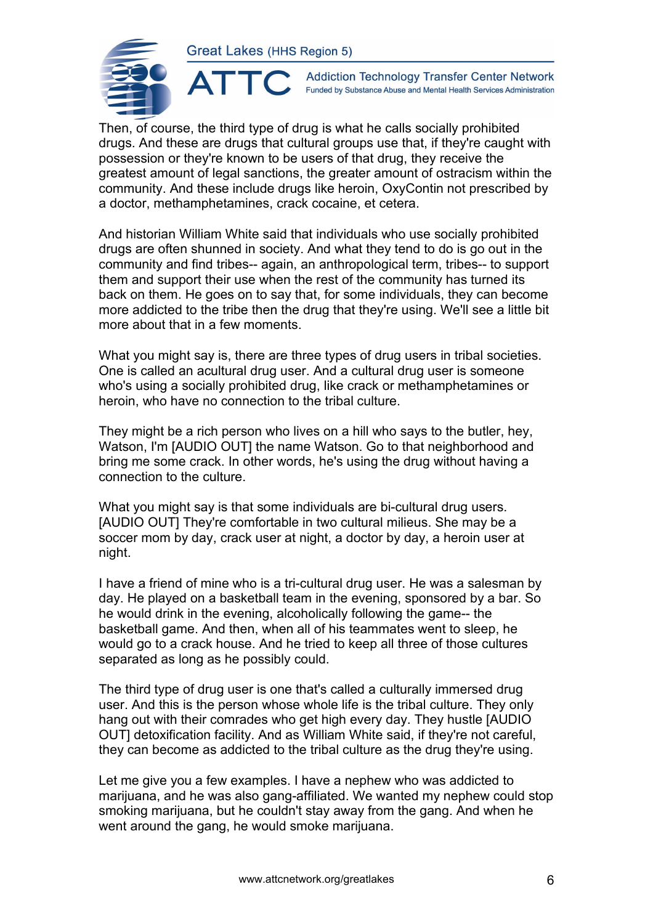ATTO



**Addiction Technology Transfer Center Network** Funded by Substance Abuse and Mental Health Services Administration

Then, of course, the third type of drug is what he calls socially prohibited drugs. And these are drugs that cultural groups use that, if they're caught with possession or they're known to be users of that drug, they receive the greatest amount of legal sanctions, the greater amount of ostracism within the community. And these include drugs like heroin, OxyContin not prescribed by a doctor, methamphetamines, crack cocaine, et cetera.

And historian William White said that individuals who use socially prohibited drugs are often shunned in society. And what they tend to do is go out in the community and find tribes-- again, an anthropological term, tribes-- to support them and support their use when the rest of the community has turned its back on them. He goes on to say that, for some individuals, they can become more addicted to the tribe then the drug that they're using. We'll see a little bit more about that in a few moments.

What you might say is, there are three types of drug users in tribal societies. One is called an acultural drug user. And a cultural drug user is someone who's using a socially prohibited drug, like crack or methamphetamines or heroin, who have no connection to the tribal culture.

They might be a rich person who lives on a hill who says to the butler, hey, Watson, I'm [AUDIO OUT] the name Watson. Go to that neighborhood and bring me some crack. In other words, he's using the drug without having a connection to the culture.

What you might say is that some individuals are bi-cultural drug users. [AUDIO OUT] They're comfortable in two cultural milieus. She may be a soccer mom by day, crack user at night, a doctor by day, a heroin user at night.

I have a friend of mine who is a tri-cultural drug user. He was a salesman by day. He played on a basketball team in the evening, sponsored by a bar. So he would drink in the evening, alcoholically following the game-- the basketball game. And then, when all of his teammates went to sleep, he would go to a crack house. And he tried to keep all three of those cultures separated as long as he possibly could.

The third type of drug user is one that's called a culturally immersed drug user. And this is the person whose whole life is the tribal culture. They only hang out with their comrades who get high every day. They hustle [AUDIO OUT] detoxification facility. And as William White said, if they're not careful, they can become as addicted to the tribal culture as the drug they're using.

Let me give you a few examples. I have a nephew who was addicted to marijuana, and he was also gang-affiliated. We wanted my nephew could stop smoking marijuana, but he couldn't stay away from the gang. And when he went around the gang, he would smoke marijuana.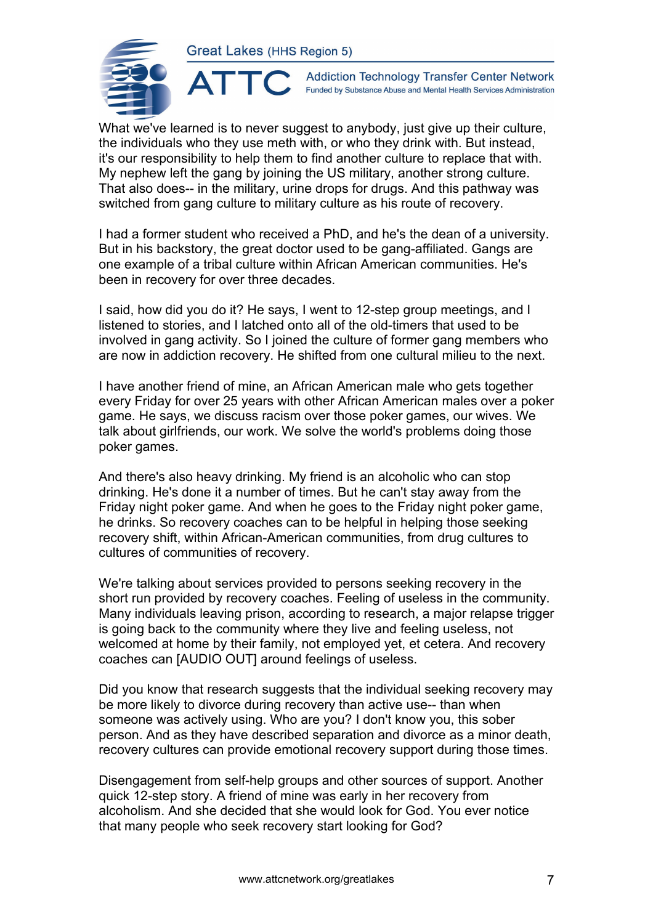ATTC



**Addiction Technology Transfer Center Network** Funded by Substance Abuse and Mental Health Services Administration

What we've learned is to never suggest to anybody, just give up their culture, the individuals who they use meth with, or who they drink with. But instead, it's our responsibility to help them to find another culture to replace that with. My nephew left the gang by joining the US military, another strong culture. That also does-- in the military, urine drops for drugs. And this pathway was switched from gang culture to military culture as his route of recovery.

I had a former student who received a PhD, and he's the dean of a university. But in his backstory, the great doctor used to be gang-affiliated. Gangs are one example of a tribal culture within African American communities. He's been in recovery for over three decades.

I said, how did you do it? He says, I went to 12-step group meetings, and I listened to stories, and I latched onto all of the old-timers that used to be involved in gang activity. So I joined the culture of former gang members who are now in addiction recovery. He shifted from one cultural milieu to the next.

I have another friend of mine, an African American male who gets together every Friday for over 25 years with other African American males over a poker game. He says, we discuss racism over those poker games, our wives. We talk about girlfriends, our work. We solve the world's problems doing those poker games.

And there's also heavy drinking. My friend is an alcoholic who can stop drinking. He's done it a number of times. But he can't stay away from the Friday night poker game. And when he goes to the Friday night poker game, he drinks. So recovery coaches can to be helpful in helping those seeking recovery shift, within African-American communities, from drug cultures to cultures of communities of recovery.

We're talking about services provided to persons seeking recovery in the short run provided by recovery coaches. Feeling of useless in the community. Many individuals leaving prison, according to research, a major relapse trigger is going back to the community where they live and feeling useless, not welcomed at home by their family, not employed yet, et cetera. And recovery coaches can [AUDIO OUT] around feelings of useless.

Did you know that research suggests that the individual seeking recovery may be more likely to divorce during recovery than active use-- than when someone was actively using. Who are you? I don't know you, this sober person. And as they have described separation and divorce as a minor death, recovery cultures can provide emotional recovery support during those times.

Disengagement from self-help groups and other sources of support. Another quick 12-step story. A friend of mine was early in her recovery from alcoholism. And she decided that she would look for God. You ever notice that many people who seek recovery start looking for God?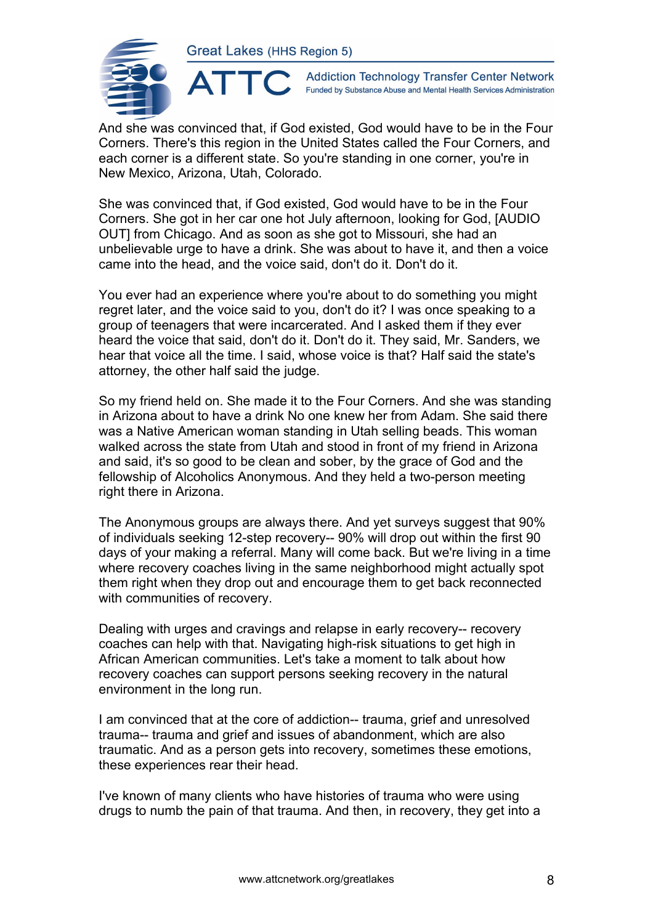

**Addiction Technology Transfer Center Network** Funded by Substance Abuse and Mental Health Services Administration

And she was convinced that, if God existed, God would have to be in the Four Corners. There's this region in the United States called the Four Corners, and each corner is a different state. So you're standing in one corner, you're in New Mexico, Arizona, Utah, Colorado.

She was convinced that, if God existed, God would have to be in the Four Corners. She got in her car one hot July afternoon, looking for God, [AUDIO OUT] from Chicago. And as soon as she got to Missouri, she had an unbelievable urge to have a drink. She was about to have it, and then a voice came into the head, and the voice said, don't do it. Don't do it.

You ever had an experience where you're about to do something you might regret later, and the voice said to you, don't do it? I was once speaking to a group of teenagers that were incarcerated. And I asked them if they ever heard the voice that said, don't do it. Don't do it. They said, Mr. Sanders, we hear that voice all the time. I said, whose voice is that? Half said the state's attorney, the other half said the judge.

So my friend held on. She made it to the Four Corners. And she was standing in Arizona about to have a drink No one knew her from Adam. She said there was a Native American woman standing in Utah selling beads. This woman walked across the state from Utah and stood in front of my friend in Arizona and said, it's so good to be clean and sober, by the grace of God and the fellowship of Alcoholics Anonymous. And they held a two-person meeting right there in Arizona.

The Anonymous groups are always there. And yet surveys suggest that 90% of individuals seeking 12-step recovery-- 90% will drop out within the first 90 days of your making a referral. Many will come back. But we're living in a time where recovery coaches living in the same neighborhood might actually spot them right when they drop out and encourage them to get back reconnected with communities of recovery.

Dealing with urges and cravings and relapse in early recovery-- recovery coaches can help with that. Navigating high-risk situations to get high in African American communities. Let's take a moment to talk about how recovery coaches can support persons seeking recovery in the natural environment in the long run.

I am convinced that at the core of addiction-- trauma, grief and unresolved trauma-- trauma and grief and issues of abandonment, which are also traumatic. And as a person gets into recovery, sometimes these emotions, these experiences rear their head.

I've known of many clients who have histories of trauma who were using drugs to numb the pain of that trauma. And then, in recovery, they get into a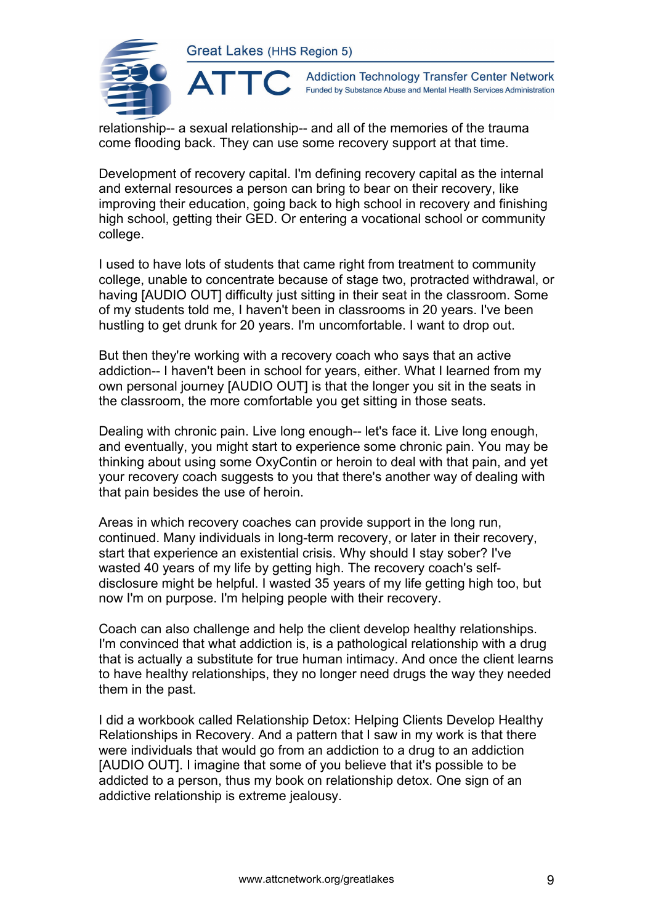

**Addiction Technology Transfer Center Network** Funded by Substance Abuse and Mental Health Services Administration

relationship-- a sexual relationship-- and all of the memories of the trauma come flooding back. They can use some recovery support at that time.

Development of recovery capital. I'm defining recovery capital as the internal and external resources a person can bring to bear on their recovery, like improving their education, going back to high school in recovery and finishing high school, getting their GED. Or entering a vocational school or community college.

I used to have lots of students that came right from treatment to community college, unable to concentrate because of stage two, protracted withdrawal, or having [AUDIO OUT] difficulty just sitting in their seat in the classroom. Some of my students told me, I haven't been in classrooms in 20 years. I've been hustling to get drunk for 20 years. I'm uncomfortable. I want to drop out.

But then they're working with a recovery coach who says that an active addiction-- I haven't been in school for years, either. What I learned from my own personal journey [AUDIO OUT] is that the longer you sit in the seats in the classroom, the more comfortable you get sitting in those seats.

Dealing with chronic pain. Live long enough-- let's face it. Live long enough, and eventually, you might start to experience some chronic pain. You may be thinking about using some OxyContin or heroin to deal with that pain, and yet your recovery coach suggests to you that there's another way of dealing with that pain besides the use of heroin.

Areas in which recovery coaches can provide support in the long run, continued. Many individuals in long-term recovery, or later in their recovery, start that experience an existential crisis. Why should I stay sober? I've wasted 40 years of my life by getting high. The recovery coach's selfdisclosure might be helpful. I wasted 35 years of my life getting high too, but now I'm on purpose. I'm helping people with their recovery.

Coach can also challenge and help the client develop healthy relationships. I'm convinced that what addiction is, is a pathological relationship with a drug that is actually a substitute for true human intimacy. And once the client learns to have healthy relationships, they no longer need drugs the way they needed them in the past.

I did a workbook called Relationship Detox: Helping Clients Develop Healthy Relationships in Recovery. And a pattern that I saw in my work is that there were individuals that would go from an addiction to a drug to an addiction [AUDIO OUT]. I imagine that some of you believe that it's possible to be addicted to a person, thus my book on relationship detox. One sign of an addictive relationship is extreme jealousy.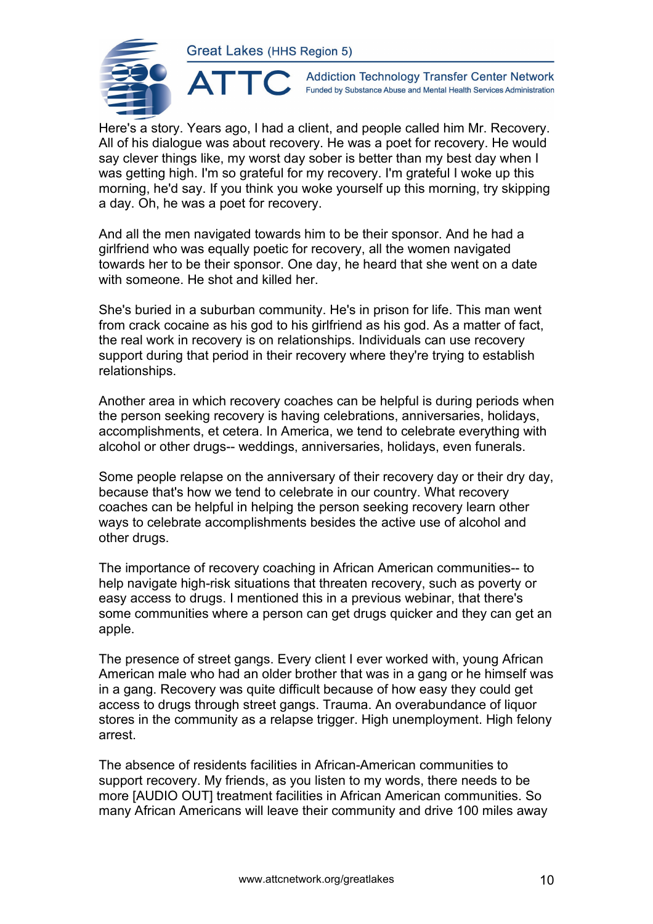

**Addiction Technology Transfer Center Network** Funded by Substance Abuse and Mental Health Services Administration

Here's a story. Years ago, I had a client, and people called him Mr. Recovery. All of his dialogue was about recovery. He was a poet for recovery. He would say clever things like, my worst day sober is better than my best day when I was getting high. I'm so grateful for my recovery. I'm grateful I woke up this morning, he'd say. If you think you woke yourself up this morning, try skipping a day. Oh, he was a poet for recovery.

And all the men navigated towards him to be their sponsor. And he had a girlfriend who was equally poetic for recovery, all the women navigated towards her to be their sponsor. One day, he heard that she went on a date with someone. He shot and killed her.

She's buried in a suburban community. He's in prison for life. This man went from crack cocaine as his god to his girlfriend as his god. As a matter of fact, the real work in recovery is on relationships. Individuals can use recovery support during that period in their recovery where they're trying to establish relationships.

Another area in which recovery coaches can be helpful is during periods when the person seeking recovery is having celebrations, anniversaries, holidays, accomplishments, et cetera. In America, we tend to celebrate everything with alcohol or other drugs-- weddings, anniversaries, holidays, even funerals.

Some people relapse on the anniversary of their recovery day or their dry day, because that's how we tend to celebrate in our country. What recovery coaches can be helpful in helping the person seeking recovery learn other ways to celebrate accomplishments besides the active use of alcohol and other drugs.

The importance of recovery coaching in African American communities-- to help navigate high-risk situations that threaten recovery, such as poverty or easy access to drugs. I mentioned this in a previous webinar, that there's some communities where a person can get drugs quicker and they can get an apple.

The presence of street gangs. Every client I ever worked with, young African American male who had an older brother that was in a gang or he himself was in a gang. Recovery was quite difficult because of how easy they could get access to drugs through street gangs. Trauma. An overabundance of liquor stores in the community as a relapse trigger. High unemployment. High felony arrest.

The absence of residents facilities in African-American communities to support recovery. My friends, as you listen to my words, there needs to be more [AUDIO OUT] treatment facilities in African American communities. So many African Americans will leave their community and drive 100 miles away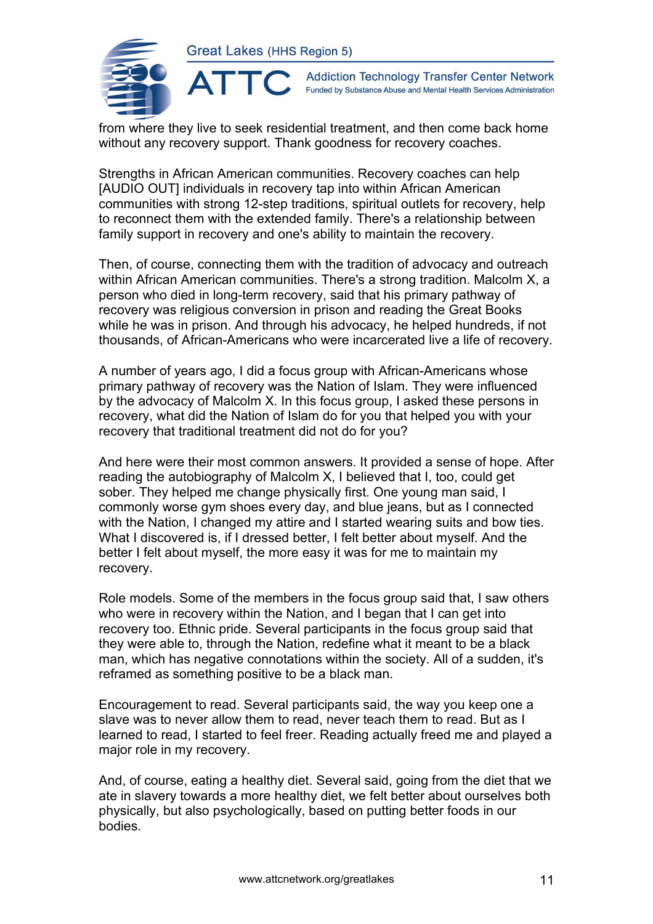

**Addiction Technology Transfer Center Network** Funded by Substance Abuse and Mental Health Services Administration

from where they live to seek residential treatment, and then come back home without any recovery support. Thank goodness for recovery coaches.

Strengths in African American communities. Recovery coaches can help [AUDIO OUT] individuals in recovery tap into within African American communities with strong 12-step traditions, spiritual outlets for recovery, help to reconnect them with the extended family. There's a relationship between family support in recovery and one's ability to maintain the recovery.

Then, of course, connecting them with the tradition of advocacy and outreach within African American communities. There's a strong tradition. Malcolm X, a person who died in long-term recovery, said that his primary pathway of recovery was religious conversion in prison and reading the Great Books while he was in prison. And through his advocacy, he helped hundreds, if not thousands, of African-Americans who were incarcerated live a life of recovery.

A number of years ago, I did a focus group with African-Americans whose primary pathway of recovery was the Nation of Islam. They were influenced by the advocacy of Malcolm X. In this focus group, I asked these persons in recovery, what did the Nation of Islam do for you that helped you with your recovery that traditional treatment did not do for you?

And here were their most common answers. It provided a sense of hope. After reading the autobiography of Malcolm X, I believed that I, too, could get sober. They helped me change physically first. One young man said, I commonly worse gym shoes every day, and blue jeans, but as I connected with the Nation, I changed my attire and I started wearing suits and bow ties. What I discovered is, if I dressed better, I felt better about myself. And the better I felt about myself, the more easy it was for me to maintain my recovery.

Role models. Some of the members in the focus group said that, I saw others who were in recovery within the Nation, and I began that I can get into recovery too. Ethnic pride. Several participants in the focus group said that they were able to, through the Nation, redefine what it meant to be a black man, which has negative connotations within the society. All of a sudden, it's reframed as something positive to be a black man.

Encouragement to read. Several participants said, the way you keep one a slave was to never allow them to read, never teach them to read. But as I learned to read, I started to feel freer. Reading actually freed me and played a major role in my recovery.

And, of course, eating a healthy diet. Several said, going from the diet that we ate in slavery towards a more healthy diet, we felt better about ourselves both physically, but also psychologically, based on putting better foods in our bodies.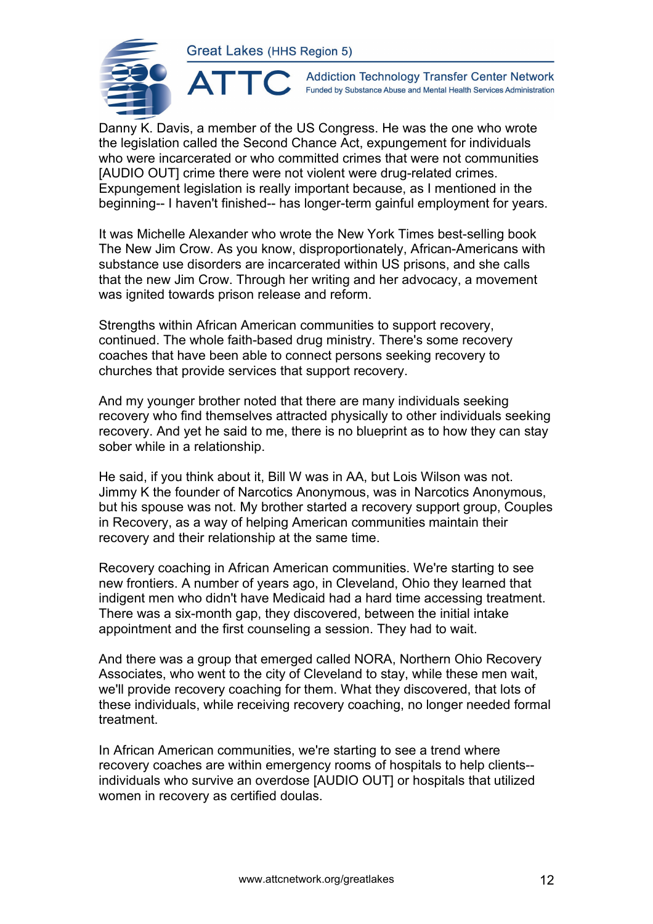ATTC



**Addiction Technology Transfer Center Network** Funded by Substance Abuse and Mental Health Services Administration

Danny K. Davis, a member of the US Congress. He was the one who wrote the legislation called the Second Chance Act, expungement for individuals who were incarcerated or who committed crimes that were not communities [AUDIO OUT] crime there were not violent were drug-related crimes. Expungement legislation is really important because, as I mentioned in the beginning-- I haven't finished-- has longer-term gainful employment for years.

It was Michelle Alexander who wrote the New York Times best-selling book The New Jim Crow. As you know, disproportionately, African-Americans with substance use disorders are incarcerated within US prisons, and she calls that the new Jim Crow. Through her writing and her advocacy, a movement was ignited towards prison release and reform.

Strengths within African American communities to support recovery, continued. The whole faith-based drug ministry. There's some recovery coaches that have been able to connect persons seeking recovery to churches that provide services that support recovery.

And my younger brother noted that there are many individuals seeking recovery who find themselves attracted physically to other individuals seeking recovery. And yet he said to me, there is no blueprint as to how they can stay sober while in a relationship.

He said, if you think about it, Bill W was in AA, but Lois Wilson was not. Jimmy K the founder of Narcotics Anonymous, was in Narcotics Anonymous, but his spouse was not. My brother started a recovery support group, Couples in Recovery, as a way of helping American communities maintain their recovery and their relationship at the same time.

Recovery coaching in African American communities. We're starting to see new frontiers. A number of years ago, in Cleveland, Ohio they learned that indigent men who didn't have Medicaid had a hard time accessing treatment. There was a six-month gap, they discovered, between the initial intake appointment and the first counseling a session. They had to wait.

And there was a group that emerged called NORA, Northern Ohio Recovery Associates, who went to the city of Cleveland to stay, while these men wait, we'll provide recovery coaching for them. What they discovered, that lots of these individuals, while receiving recovery coaching, no longer needed formal treatment.

In African American communities, we're starting to see a trend where recovery coaches are within emergency rooms of hospitals to help clients- individuals who survive an overdose [AUDIO OUT] or hospitals that utilized women in recovery as certified doulas.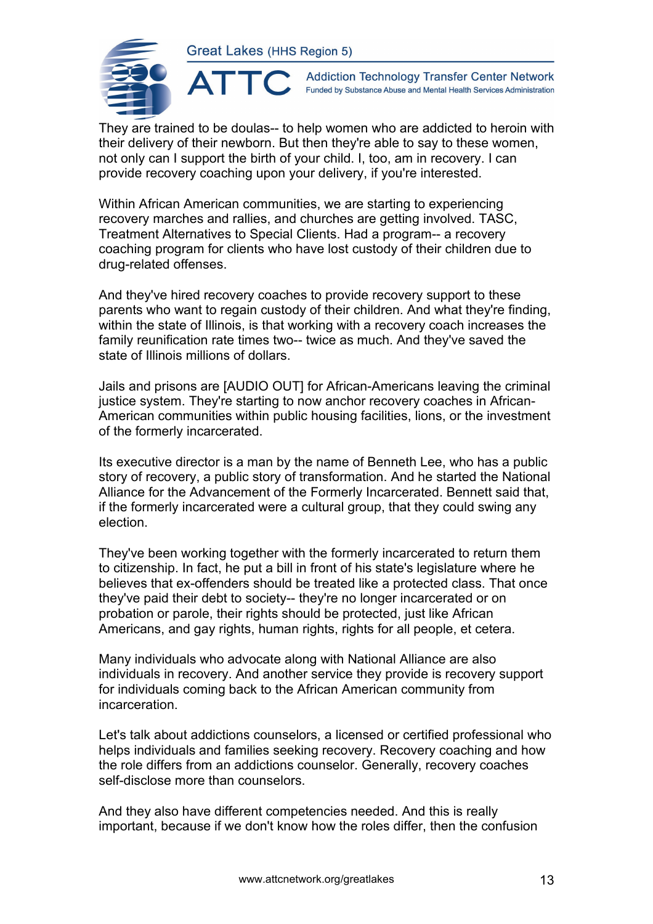

**Addiction Technology Transfer Center Network** Funded by Substance Abuse and Mental Health Services Administration

They are trained to be doulas-- to help women who are addicted to heroin with their delivery of their newborn. But then they're able to say to these women, not only can I support the birth of your child. I, too, am in recovery. I can provide recovery coaching upon your delivery, if you're interested.

Within African American communities, we are starting to experiencing recovery marches and rallies, and churches are getting involved. TASC, Treatment Alternatives to Special Clients. Had a program-- a recovery coaching program for clients who have lost custody of their children due to drug-related offenses.

And they've hired recovery coaches to provide recovery support to these parents who want to regain custody of their children. And what they're finding, within the state of Illinois, is that working with a recovery coach increases the family reunification rate times two-- twice as much. And they've saved the state of Illinois millions of dollars.

Jails and prisons are [AUDIO OUT] for African-Americans leaving the criminal justice system. They're starting to now anchor recovery coaches in African-American communities within public housing facilities, lions, or the investment of the formerly incarcerated.

Its executive director is a man by the name of Benneth Lee, who has a public story of recovery, a public story of transformation. And he started the National Alliance for the Advancement of the Formerly Incarcerated. Bennett said that, if the formerly incarcerated were a cultural group, that they could swing any election.

They've been working together with the formerly incarcerated to return them to citizenship. In fact, he put a bill in front of his state's legislature where he believes that ex-offenders should be treated like a protected class. That once they've paid their debt to society-- they're no longer incarcerated or on probation or parole, their rights should be protected, just like African Americans, and gay rights, human rights, rights for all people, et cetera.

Many individuals who advocate along with National Alliance are also individuals in recovery. And another service they provide is recovery support for individuals coming back to the African American community from incarceration.

Let's talk about addictions counselors, a licensed or certified professional who helps individuals and families seeking recovery. Recovery coaching and how the role differs from an addictions counselor. Generally, recovery coaches self-disclose more than counselors.

And they also have different competencies needed. And this is really important, because if we don't know how the roles differ, then the confusion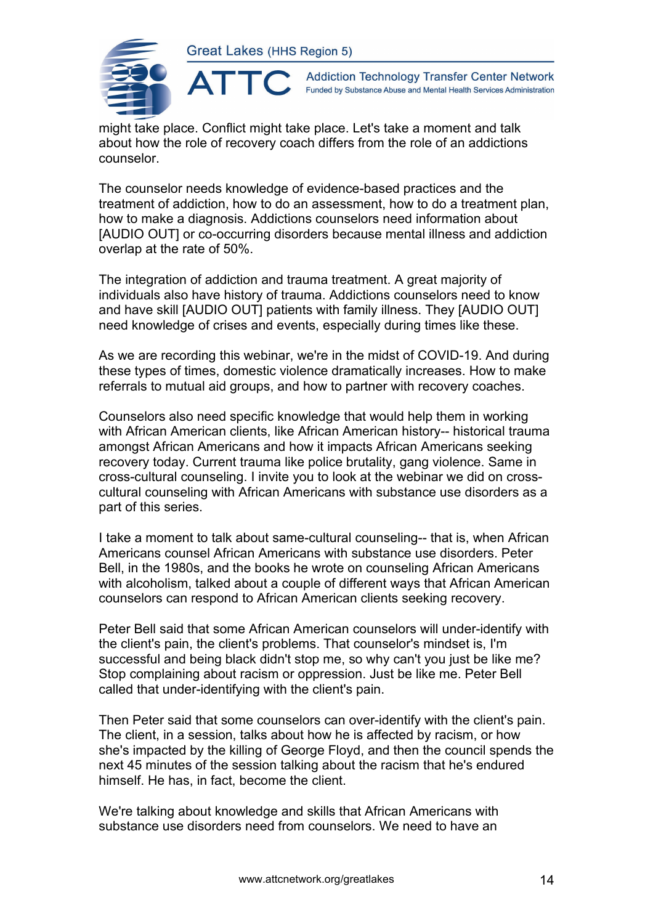

**Addiction Technology Transfer Center Network** Funded by Substance Abuse and Mental Health Services Administration

might take place. Conflict might take place. Let's take a moment and talk about how the role of recovery coach differs from the role of an addictions counselor.

The counselor needs knowledge of evidence-based practices and the treatment of addiction, how to do an assessment, how to do a treatment plan, how to make a diagnosis. Addictions counselors need information about [AUDIO OUT] or co-occurring disorders because mental illness and addiction overlap at the rate of 50%.

The integration of addiction and trauma treatment. A great majority of individuals also have history of trauma. Addictions counselors need to know and have skill [AUDIO OUT] patients with family illness. They [AUDIO OUT] need knowledge of crises and events, especially during times like these.

As we are recording this webinar, we're in the midst of COVID-19. And during these types of times, domestic violence dramatically increases. How to make referrals to mutual aid groups, and how to partner with recovery coaches.

Counselors also need specific knowledge that would help them in working with African American clients, like African American history-- historical trauma amongst African Americans and how it impacts African Americans seeking recovery today. Current trauma like police brutality, gang violence. Same in cross-cultural counseling. I invite you to look at the webinar we did on crosscultural counseling with African Americans with substance use disorders as a part of this series.

I take a moment to talk about same-cultural counseling-- that is, when African Americans counsel African Americans with substance use disorders. Peter Bell, in the 1980s, and the books he wrote on counseling African Americans with alcoholism, talked about a couple of different ways that African American counselors can respond to African American clients seeking recovery.

Peter Bell said that some African American counselors will under-identify with the client's pain, the client's problems. That counselor's mindset is, I'm successful and being black didn't stop me, so why can't you just be like me? Stop complaining about racism or oppression. Just be like me. Peter Bell called that under-identifying with the client's pain.

Then Peter said that some counselors can over-identify with the client's pain. The client, in a session, talks about how he is affected by racism, or how she's impacted by the killing of George Floyd, and then the council spends the next 45 minutes of the session talking about the racism that he's endured himself. He has, in fact, become the client.

We're talking about knowledge and skills that African Americans with substance use disorders need from counselors. We need to have an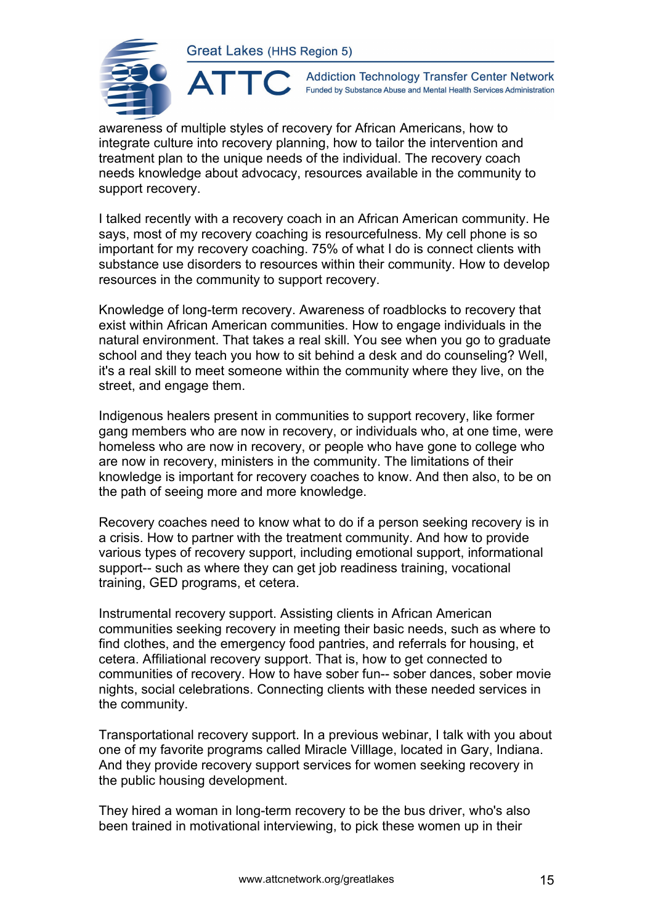

**Addiction Technology Transfer Center Network** Funded by Substance Abuse and Mental Health Services Administration

awareness of multiple styles of recovery for African Americans, how to integrate culture into recovery planning, how to tailor the intervention and treatment plan to the unique needs of the individual. The recovery coach needs knowledge about advocacy, resources available in the community to support recovery.

I talked recently with a recovery coach in an African American community. He says, most of my recovery coaching is resourcefulness. My cell phone is so important for my recovery coaching. 75% of what I do is connect clients with substance use disorders to resources within their community. How to develop resources in the community to support recovery.

Knowledge of long-term recovery. Awareness of roadblocks to recovery that exist within African American communities. How to engage individuals in the natural environment. That takes a real skill. You see when you go to graduate school and they teach you how to sit behind a desk and do counseling? Well, it's a real skill to meet someone within the community where they live, on the street, and engage them.

Indigenous healers present in communities to support recovery, like former gang members who are now in recovery, or individuals who, at one time, were homeless who are now in recovery, or people who have gone to college who are now in recovery, ministers in the community. The limitations of their knowledge is important for recovery coaches to know. And then also, to be on the path of seeing more and more knowledge.

Recovery coaches need to know what to do if a person seeking recovery is in a crisis. How to partner with the treatment community. And how to provide various types of recovery support, including emotional support, informational support-- such as where they can get job readiness training, vocational training, GED programs, et cetera.

Instrumental recovery support. Assisting clients in African American communities seeking recovery in meeting their basic needs, such as where to find clothes, and the emergency food pantries, and referrals for housing, et cetera. Affiliational recovery support. That is, how to get connected to communities of recovery. How to have sober fun-- sober dances, sober movie nights, social celebrations. Connecting clients with these needed services in the community.

Transportational recovery support. In a previous webinar, I talk with you about one of my favorite programs called Miracle Villlage, located in Gary, Indiana. And they provide recovery support services for women seeking recovery in the public housing development.

They hired a woman in long-term recovery to be the bus driver, who's also been trained in motivational interviewing, to pick these women up in their